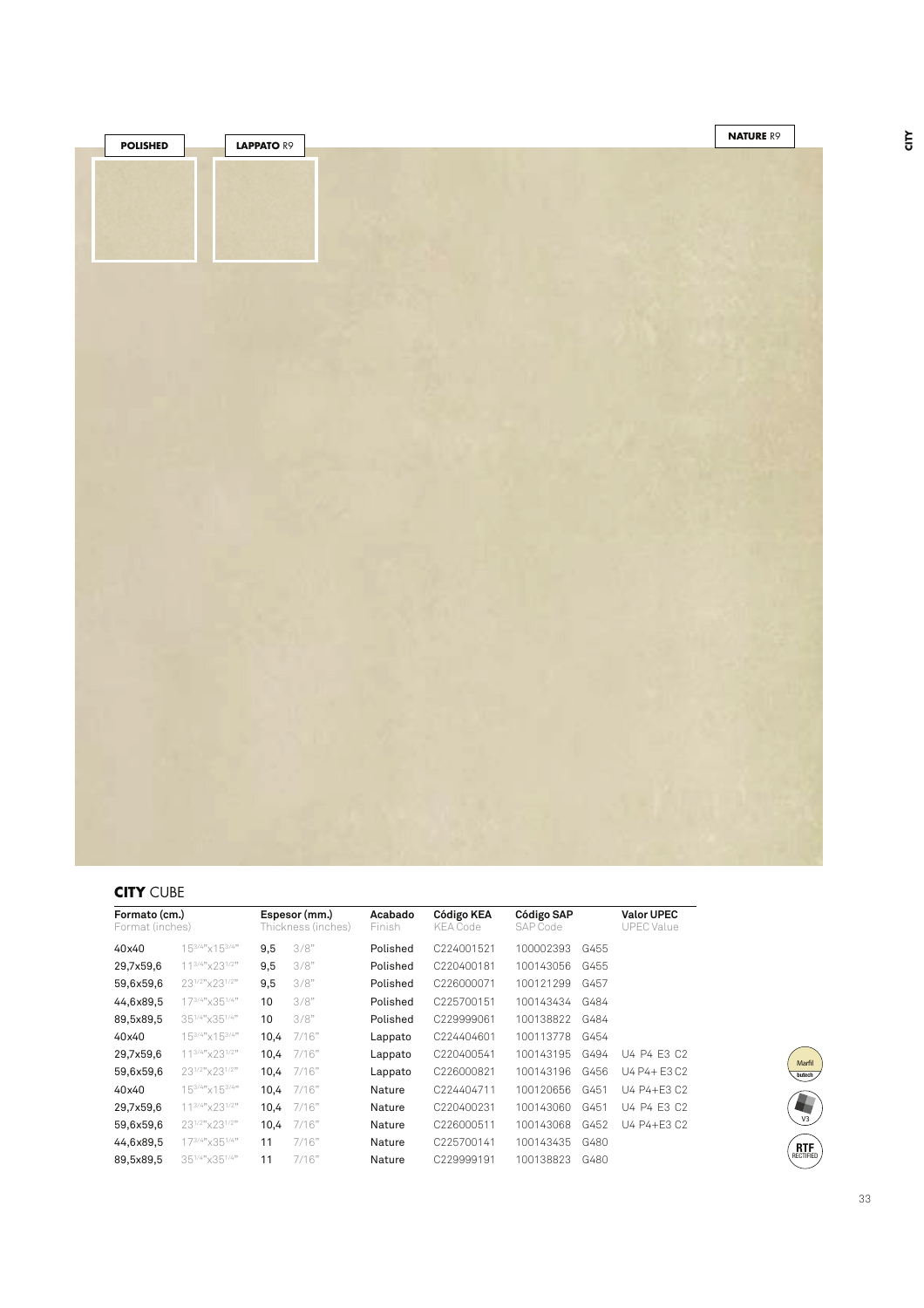| <b>POLISHED</b> | <b>LAPPATO R9</b> | <b>NATURE R9</b> |
|-----------------|-------------------|------------------|
|                 |                   |                  |
|                 |                   |                  |
|                 |                   |                  |
|                 |                   |                  |
|                 |                   |                  |
|                 |                   |                  |
|                 |                   |                  |
|                 |                   |                  |
|                 |                   |                  |
|                 |                   |                  |
|                 |                   |                  |
|                 |                   |                  |
|                 |                   |                  |
|                 |                   |                  |
|                 |                   |                  |
|                 |                   |                  |
|                 |                   |                  |
|                 |                   |                  |
|                 |                   |                  |
|                 |                   |                  |
|                 |                   |                  |
|                 |                   |                  |
|                 |                   |                  |
|                 |                   |                  |
|                 |                   |                  |
|                 |                   |                  |
|                 |                   |                  |
|                 |                   |                  |
|                 |                   |                  |
|                 |                   |                  |
|                 |                   |                  |
|                 |                   |                  |
|                 |                   |                  |
|                 |                   |                  |
|                 |                   |                  |
|                 |                   |                  |
|                 |                   |                  |

**CITY** CUBE

| Formato (cm.)<br>Format (inches) |                                           | Espesor (mm.)<br>Thickness (inches) |       | Acabado<br>Finish | Código KEA<br><b>KEA Code</b> | Código SAP<br>SAP Code |      | <b>Valor UPEC</b><br><b>UPEC</b> Value |
|----------------------------------|-------------------------------------------|-------------------------------------|-------|-------------------|-------------------------------|------------------------|------|----------------------------------------|
| 40x40                            | $15^{3/4}$ " $\times$ 15 <sup>3/4</sup> " | 9,5                                 | 3/8"  | Polished          | C224001521                    | 100002393              | G455 |                                        |
| 29,7x59,6                        | 11 <sup>3/4"</sup> × 23 <sup>1/2"</sup>   | 9,5                                 | 3/8"  | Polished          | C220400181                    | 100143056              | G455 |                                        |
| 59,6x59,6                        | 231/2"x231/2"                             | 9,5                                 | 3/8"  | Polished          | C226000071                    | 100121299              | G457 |                                        |
| 44,6x89,5                        | 173/4" x351/4"                            | 10                                  | 3/8"  | Polished          | C225700151                    | 100143434              | G484 |                                        |
| 89,5x89,5                        | 351/4"x351/4"                             | 10                                  | 3/8"  | Polished          | C229999061                    | 100138822              | G484 |                                        |
| 40x40                            | 153/4"×153/4"                             | 10,4                                | 7/16" | Lappato           | C224404601                    | 100113778              | G454 |                                        |
| 29,7x59,6                        | 11 <sup>3/4"</sup> × 23 <sup>1/2"</sup>   | 10,4                                | 7/16" | Lappato           | C220400541                    | 100143195              | G494 | U4 P4 F3 C2                            |
| 59,6x59,6                        | 23 <sup>1/2"</sup> x23 <sup>1/2"</sup>    | 10,4                                | 7/16" | Lappato           | C226000821                    | 100143196              | G456 | U4 P4+ E3 C2                           |
| 40x40                            | $15^{3/4}$ "x $15^{3/4}$ "                | 10,4                                | 7/16" | Nature            | C224404711                    | 100120656              | G451 | U4 P4+E3 C2                            |
| 29,7x59,6                        | 11 <sup>3/4"</sup> × 23 <sup>1/2"</sup>   | 10,4                                | 7/16" | Nature            | C220400231                    | 100143060              | G451 | U4 P4 E3 C2                            |
| 59,6x59,6                        | 231/2"x231/2"                             | 10,4                                | 7/16" | Nature            | C226000511                    | 100143068              | G452 | U4 P4+E3 C2                            |
| 44,6x89,5                        | 173/4" x 351/4"                           | 11                                  | 7/16" | Nature            | C225700141                    | 100143435              | G480 |                                        |
| 89,5x89,5                        | 351/4"x351/4"                             | 11                                  | 7/16" | Nature            | C229999191                    | 100138823              | G480 |                                        |



33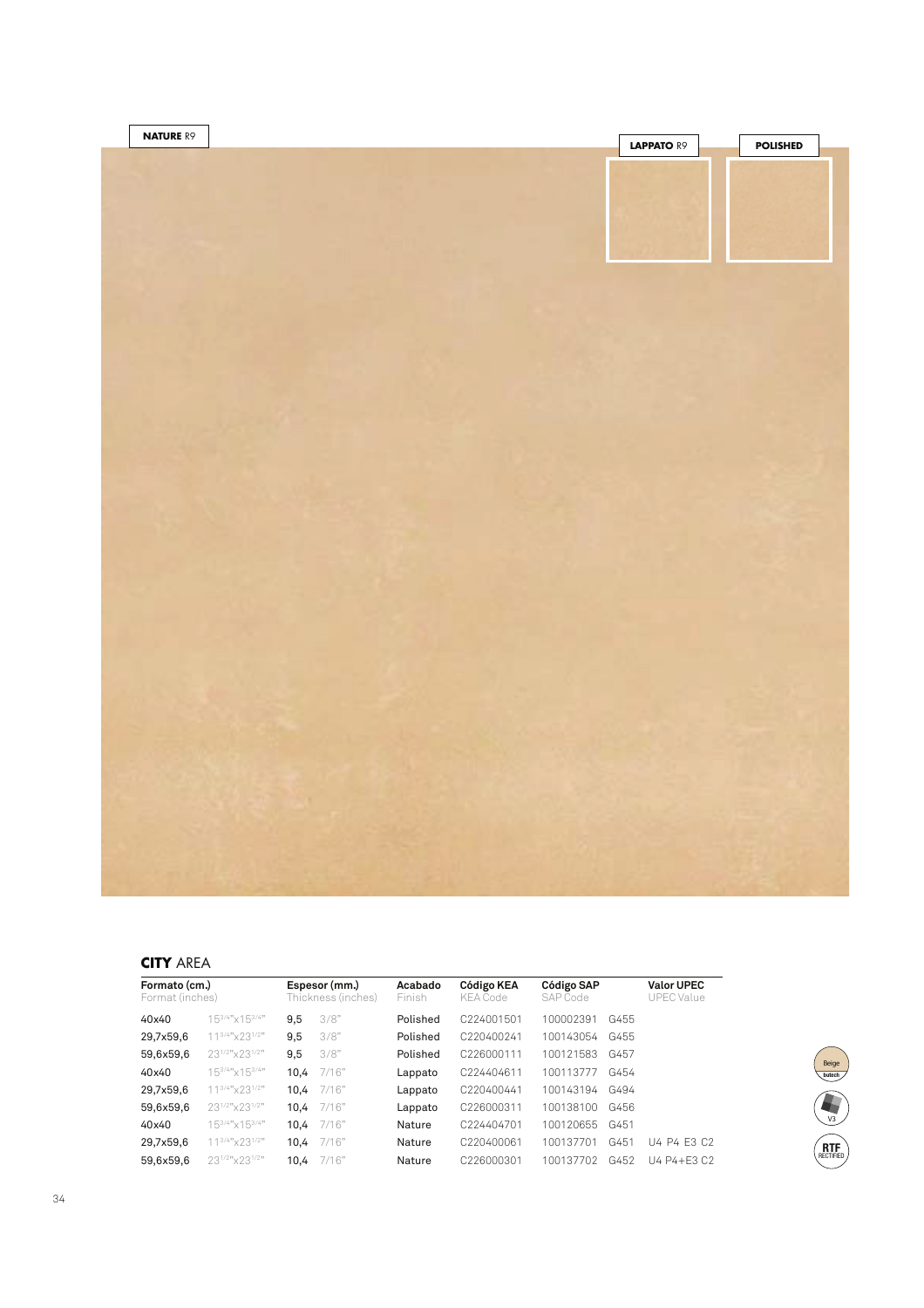

## **CITY** AREA

| Formato (cm.)<br>Format (inches) |                                         | Espesor (mm.)<br>Thickness (inches) |       | Acabado<br>Finish | Código KEA<br><b>KEA Code</b> | Código SAP<br>SAP Code |      | <b>Valor UPEC</b><br><b>UPEC Value</b> |
|----------------------------------|-----------------------------------------|-------------------------------------|-------|-------------------|-------------------------------|------------------------|------|----------------------------------------|
| 40x40                            | 153/4" × 153/4"                         | 9,5                                 | 3/8"  | Polished          | C <sub>224001501</sub>        | 100002391              | G455 |                                        |
| 29,7x59,6                        | 11 <sup>3/4"</sup> x23 <sup>1/2"</sup>  | 9,5                                 | 3/8"  | Polished          | C220400241                    | 100143054              | G455 |                                        |
| 59,6x59,6                        | 231/2"x231/2"                           | 9,5                                 | 3/8"  | Polished          | C226000111                    | 100121583              | G457 |                                        |
| 40x40                            | 153/4" x 153/4"                         | 10.4                                | 7/16" | Lappato           | C224404611                    | 100113777              | G454 |                                        |
| 29,7x59,6                        | 11 <sup>3/4"</sup> ×23 <sup>1/2"</sup>  | 10.4                                | 7/16" | Lappato           | C220400441                    | 100143194              | G494 |                                        |
| 59,6x59,6                        | 231/2"x231/2"                           | 10.4                                | 7/16" | Lappato           | C226000311                    | 100138100              | G456 |                                        |
| 40x40                            | $15^{3/4n}$ x $15^{3/4n}$               | 10.4                                | 7/16" | Nature            | C224404701                    | 100120655              | G451 |                                        |
| 29.7x59.6                        | 11 <sup>3/4"</sup> × 23 <sup>1/2"</sup> | 10.4                                | 7/16" | Nature            | C220400061                    | 100137701              | G451 | U4 P4 E3 C2                            |
| 59.6x59.6                        | 231/2"x231/2"                           | 10.4                                | 7/16" | Nature            | C226000301                    | 100137702              | G452 | U4 P4+E3 C2                            |

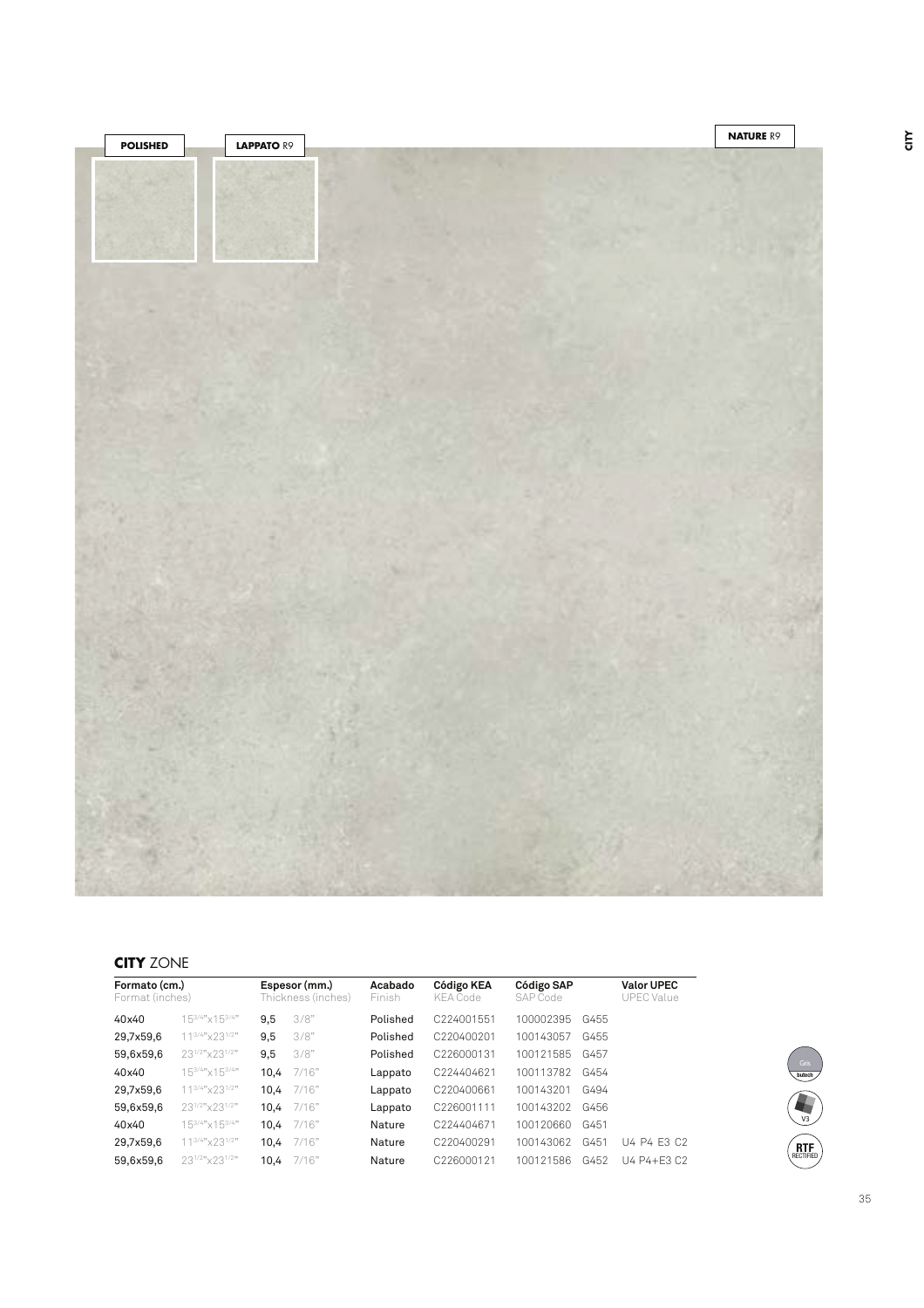

## **CITY** ZONE

| Formato (cm.)<br>Format (inches)        |      |       | Acabado<br>Finish                   | Código SAP<br>Código KEA<br>SAP Code<br><b>KEA Code</b> |           |      | <b>Valor UPEC</b><br><b>UPEC Value</b> |
|-----------------------------------------|------|-------|-------------------------------------|---------------------------------------------------------|-----------|------|----------------------------------------|
| $15^{3/4}$ "x153/4"                     | 9,5  | 3/8"  | Polished                            | C224001551                                              | 100002395 | G455 |                                        |
| 11 <sup>3/4"</sup> × 23 <sup>1/2"</sup> | 9,5  | 3/8"  | Polished                            | C220400201                                              | 100143057 | G455 |                                        |
| 23 <sup>1/2"</sup> × 23 <sup>1/2"</sup> | 9,5  | 3/8"  | Polished                            | C226000131                                              | 100121585 | G457 |                                        |
| $15^{3/4}$ "x153/4"                     | 10.4 | 7/16" | Lappato                             | C224404621                                              | 100113782 | G454 |                                        |
| 11 <sup>3/4"</sup> x23 <sup>1/2"</sup>  | 10.4 | 7/16" | Lappato                             | C220400661                                              | 100143201 | G494 |                                        |
| 231/2"x231/2"                           | 10.4 | 7/16" | Lappato                             | C226001111                                              | 100143202 | G456 |                                        |
| $15^{3/4n}$ x $15^{3/4n}$               | 10.4 | 7/16" | Nature                              | C224404671                                              | 100120660 | G451 |                                        |
| 11 <sup>3/4"</sup> x23 <sup>1/2"</sup>  | 10.4 | 7/16" | Nature                              | C220400291                                              | 100143062 | G451 | U4 P4 E3 C2                            |
| 231/2"x231/2"                           | 10.4 | 7/16" | Nature                              | C226000121                                              | 100121586 | G452 | U4 P4+F3 C2                            |
|                                         |      |       | Espesor (mm.)<br>Thickness (inches) |                                                         |           |      |                                        |



35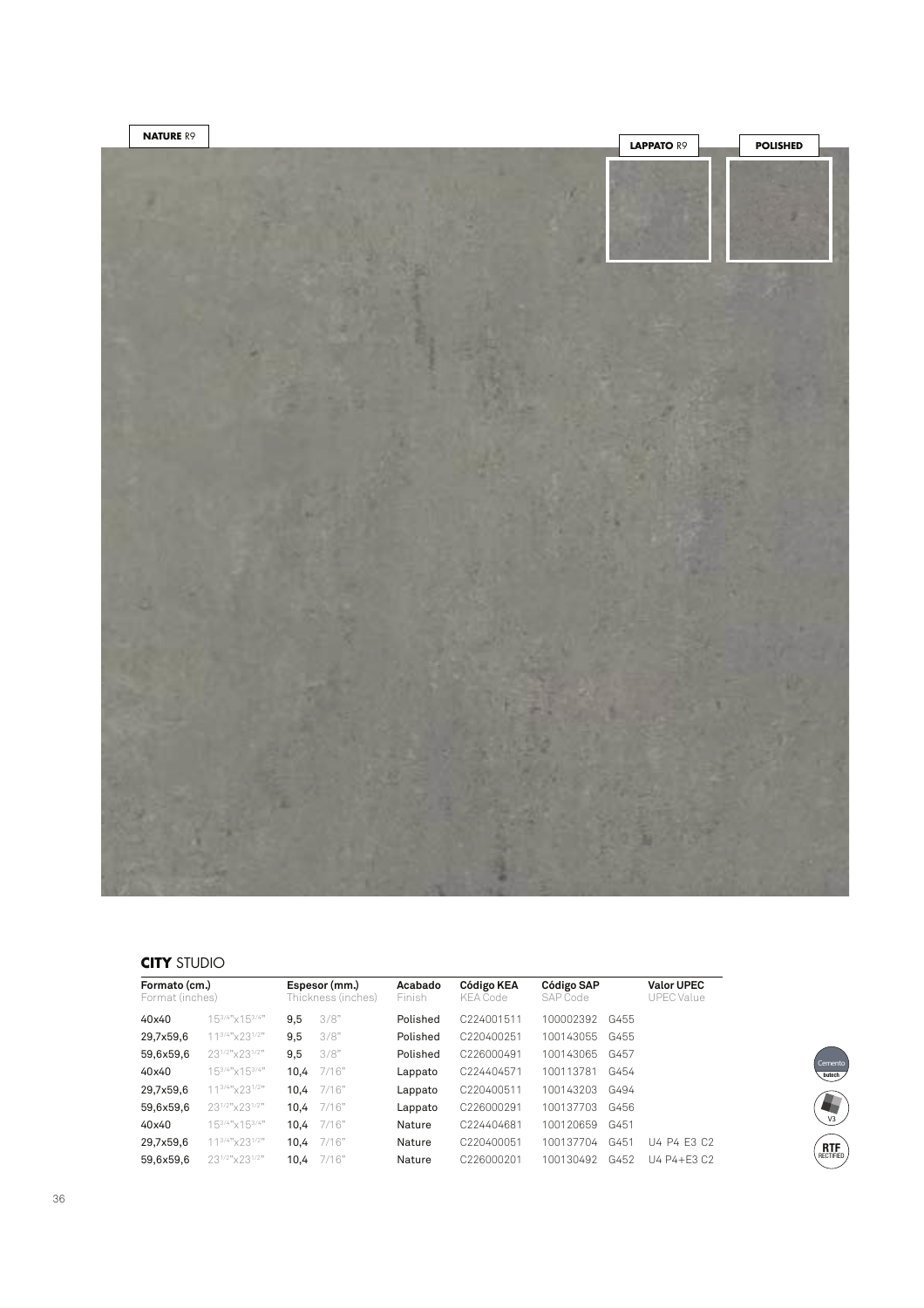

## **CITY** STUDIO

| Formato (cm.)<br>Format (inches) |                                         |      | Espesor (mm.)<br>Thickness (inches) | Acabado<br>Finish | Código KEA<br><b>KEA Code</b> | Código SAP<br>SAP Code |      | <b>Valor UPEC</b><br><b>UPEC Value</b> |
|----------------------------------|-----------------------------------------|------|-------------------------------------|-------------------|-------------------------------|------------------------|------|----------------------------------------|
| 40x40                            | 153/4" × 153/4"                         | 9,5  | 3/8"                                | Polished          | C224001511                    | 100002392              | G455 |                                        |
| 29,7x59,6                        | 11 <sup>3/4"</sup> x23 <sup>1/2"</sup>  | 9,5  | 3/8"                                | Polished          | C220400251                    | 100143055              | G455 |                                        |
| 59,6x59,6                        | 231/2" × 231/2"                         | 9,5  | 3/8"                                | Polished          | C226000491                    | 100143065              | G457 |                                        |
| 40x40                            | $15^{3/4n}$ x $15^{3/4n}$               | 10.4 | 7/16"                               | Lappato           | C224404571                    | 100113781              | G454 |                                        |
| 29,7x59,6                        | 11 <sup>3/4"</sup> × 23 <sup>1/2"</sup> | 10.4 | 7/16"                               | Lappato           | C220400511                    | 100143203              | G494 |                                        |
| 59,6x59,6                        | 231/2"x231/2"                           | 10.4 | 7/16"                               | Lappato           | C226000291                    | 100137703              | G456 |                                        |
| 40x40                            | 153/4" × 153/4"                         | 10.4 | 7/16"                               | Nature            | C224404681                    | 100120659              | G451 |                                        |
| 29,7x59,6                        | 11 <sup>3/4"</sup> × 23 <sup>1/2"</sup> | 10.4 | 7/16"                               | Nature            | C220400051                    | 100137704              | G451 | U4 P4 F3 C2                            |
| 59.6x59.6                        | 231/2"x231/2"                           | 10.4 | 7/16"                               | Nature            | C226000201                    | 100130492              | G452 | U4 P4+E3 C2                            |